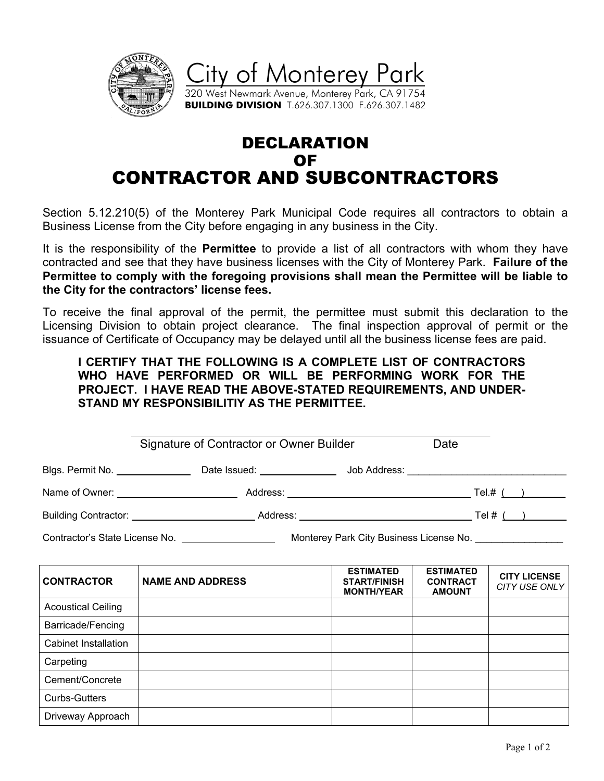

## DECLARATION OF CONTRACTOR AND SUBCONTRACTORS

Section 5.12.210(5) of the Monterey Park Municipal Code requires all contractors to obtain a Business License from the City before engaging in any business in the City.

It is the responsibility of the **Permittee** to provide a list of all contractors with whom they have contracted and see that they have business licenses with the City of Monterey Park. **Failure of the Permittee to comply with the foregoing provisions shall mean the Permittee will be liable to the City for the contractors' license fees.**

To receive the final approval of the permit, the permittee must submit this declaration to the Licensing Division to obtain project clearance. The final inspection approval of permit or the issuance of Certificate of Occupancy may be delayed until all the business license fees are paid.

**I CERTIFY THAT THE FOLLOWING IS A COMPLETE LIST OF CONTRACTORS WHO HAVE PERFORMED OR WILL BE PERFORMING WORK FOR THE PROJECT. I HAVE READ THE ABOVE-STATED REQUIREMENTS, AND UNDER-STAND MY RESPONSIBILITIY AS THE PERMITTEE.**

|                                   | Signature of Contractor or Owner Builder       |                                             | Date |  |           |
|-----------------------------------|------------------------------------------------|---------------------------------------------|------|--|-----------|
| Blgs. Permit No. ________________ |                                                |                                             |      |  |           |
|                                   | Name of Owner: Name of Owner:                  | Address: __________________________________ |      |  | Tel.# ( ) |
|                                   | Building Contractor: University of Publication |                                             |      |  |           |
| Contractor's State License No.    | Monterey Park City Business License No.        |                                             |      |  |           |

| <b>CONTRACTOR</b>         | <b>NAME AND ADDRESS</b> | <b>ESTIMATED</b><br><b>START/FINISH</b><br><b>MONTH/YEAR</b> | <b>ESTIMATED</b><br><b>CONTRACT</b><br><b>AMOUNT</b> | <b>CITY LICENSE</b><br>CITY USE ONLY |
|---------------------------|-------------------------|--------------------------------------------------------------|------------------------------------------------------|--------------------------------------|
| <b>Acoustical Ceiling</b> |                         |                                                              |                                                      |                                      |
| Barricade/Fencing         |                         |                                                              |                                                      |                                      |
| Cabinet Installation      |                         |                                                              |                                                      |                                      |
| Carpeting                 |                         |                                                              |                                                      |                                      |
| Cement/Concrete           |                         |                                                              |                                                      |                                      |
| <b>Curbs-Gutters</b>      |                         |                                                              |                                                      |                                      |
| Driveway Approach         |                         |                                                              |                                                      |                                      |